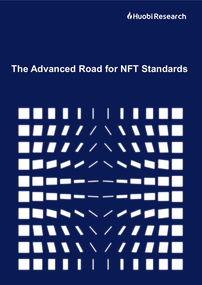**U**Huobi Research

## **The Advanced Road for NFT Standards**

# . . . . . . . H.  $\blacksquare$  $\blacksquare$ THE STATE OF STREET  $\blacksquare$ **AAAAAAA** . . . .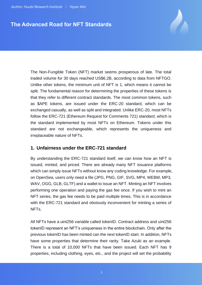### **The Advanced Road for NFT Standards**

The Non-Fungible Token (NFT) market seems prosperous of late. The total traded volume for 30 days reached US\$6.2B, according to data from NFTGO. Unlike other tokens, the minimum unit of NFT is 1, which means it cannot be split. The fundamental reason for determining the properties of these tokens is that they refer to different contract standards. The most common tokens, such as \$APE tokens, are issued under the ERC-20 standard, which can be exchanged casually, as well as split and integrated. Unlike ERC-20, most NFTs follow the ERC-721 (Ethereum Request for Comments 721) standard, which is the standard implemented by most NFTs on Ethereum. Tokens under this standard are not exchangeable, which represents the uniqueness and irreplaceable nature of NFTs.

#### **1. Unfairness under the ERC-721 standard**

By understanding the ERC-721 standard itself, we can know how an NFT is issued, minted, and priced. There are already many NFT issuance platforms which can simply issue NFTs without know any coding knowledge. For example, on OpenSea, users only need a file (JPG, PNG, GIF, SVG, MP4, WEBM, MP3, WAV, OGG, GLB, GLTF) and a wallet to issue an NFT. Minting an NFT involves performing one operation and paying the gas fee once. If you wish to mint an NFT series, the gas fee needs to be paid multiple times. This is in accordance with the ERC-721 standard and obviously inconvenient for minting a series of NFTs.

All NFTs have a uint256 variable called tokenID. Contract address and uint256 tokenID represent an NFT's uniqueness in the entire blockchain. Only after the previous tokenID has been minted can the next tokenID start. In addition, NFTs have some properties that determine their rarity. Take Azuki as an example. There is a total of 10,000 NFTs that have been issued. Each NFT has 9 properties, including clothing, eyes, etc., and the project will set the probability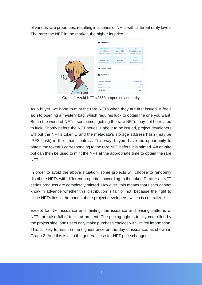of various rare properties, resulting in a series of NFTs with different rarity levels. The rarer the NFT in the market, the higher its price.



Graph.1 Azuki NFT #2550 properties and rarity

As a buyer, we hope to mint the rare NFTs when they are first issued. It feels akin to opening a mystery bag, which requires luck to obtain the one you want. But in the world of NFTs, sometimes getting the rare NFTs may not be related to luck. Shortly before the NFT series is about to be issued, project developers will put the NFT's tokenID and the metadata's storage address hash (may be IPFS hash) in the smart contract. This way, buyers have the opportunity to obtain the tokenID corresponding to the rare NFT before it is minted. An on-site bot can then be used to mint the NFT at the appropriate time to obtain the rare NFT.

In order to avoid the above situation, some projects will choose to randomly distribute NFTs with different properties according to the tokenID, after all NFT series products are completely minted. However, this means that users cannot know in advance whether this distribution is fair or not, because the right to issue NFTs lies in the hands of the project developers, which is centralized.

Except for NFT issuance and minting, the issuance and pricing patterns of NFTs are also full of tricks at present. The pricing right is totally controlled by the project side, and users only make purchase choices with limited information. This is likely to result in the highest price on the day of issuance, as shown in Graph.2. And this is also the general case for NFT price changes.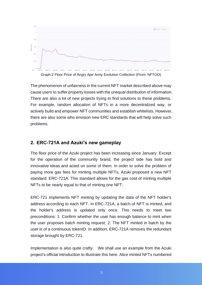

The phenomenon of unfairness in the current NFT market described above may cause users to suffer property losses with the unequal distribution of information. There are also a lot of new projects trying to find solutions to these problems. For example, random allocation of NFTs in a more decentralized way, or actively build and empower NFT communities and establish whitelists. However, there are also some who envision new ERC standards that will help solve such problems.

#### **2. ERC-721A and Azuki's new gameplay**

The floor price of the Azuki project has been increasing since January. Except for the operation of the community brand, the project side has bold and innovative ideas and acted on some of them. In order to solve the problem of paying more gas fees for minting multiple NFTs, Azuki proposed a new NFT standard: ERC-721A. This standard allows for the gas cost of minting multiple NFTs to be nearly equal to that of minting one NFT.

ERC-721 implements NFT minting by updating the data of the NFT holder's address according to each NFT. In ERC-721A, a batch of NFT is minted, and the holder's address is updated only once. This needs to meet two preconditions: 1. Confirm whether the user has enough balance to mint when the user proposes batch minting request; 2. The NFT minted in batch by the user is of a continuous tokenID. In addition, ERC-721A removes the redundant storage brought by ERC-721.

Implementation is also quite crafty. We shall use an example from the Azuki project's official introduction to illustrate this here. Alice minted NFTs numbered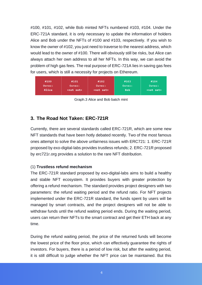#100, #101, #102, while Bob minted NFTs numbered #103, #104. Under the ERC-721A standard, it is only necessary to update the information of holders Alice and Bob under the NFTs of #100 and #103, respectively. If you wish to know the owner of #102, you just need to traverse to the nearest address, which would lead to the owner of #100. There will obviously still be risks, but Alice can always attach her own address to all her NFTs. In this way, we can avoid the problem of high gas fees. The real purpose of ERC-721A lies in saving gas fees for users, which is still a necessity for projects on Ethereum.



Graph.3 Alice and Bob batch mint

#### **3. The Road Not Taken: ERC-721R**

Currently, there are several standards called ERC-721R, which are some new NFT standards that have been hotly debated recently. Two of the most famous ones attempt to solve the above unfairness issues with ERC721: 1. ERC-721R proposed by exo-digital-labs provides trustless refunds; 2. ERC-721R proposed by erc721r.org provides a solution to the rare NFT distribution.

#### (1) **Trustless refund mechanism**

The ERC-721R standard proposed by exo-digital-labs aims to build a healthy and stable NFT ecosystem. It provides buyers with greater protection by offering a refund mechanism. The standard provides project designers with two parameters: the refund waiting period and the refund ratio. For NFT projects implemented under the ERC-721R standard, the funds spent by users will be managed by smart contracts, and the project designers will not be able to withdraw funds until the refund waiting period ends. During the waiting period, users can return their NFTs to the smart contract and get their ETH back at any time.

During the refund waiting period, the price of the returned funds will become the lowest price of the floor price, which can effectively guarantee the rights of investors. For buyers, there is a period of low risk, but after the waiting period, it is still difficult to judge whether the NFT price can be maintained. But this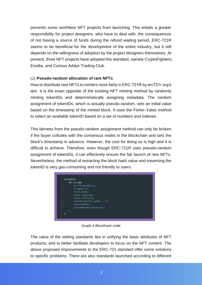prevents some worthless NFT projects from launching. This entails a greater responsibility for project designers, who have to deal with, the consequences of not having a source of funds during the refund waiting period. ERC-721R seems to be beneficial for the development of the entire industry, but it still depends on the willingness of adoption by the project designers themselves. At present, three NFT projects have adopted this standard, namely CryptoFighters, Exodia, and Curious Addys Trading Club.

#### (2) **Pseudo-random allocation of rare NFTs**

How to distribute rare NFTs to minters more fairly is ERC-721R by erc721r.org's aim. It is the exact opposite of the existing NFT minting method by randomly minting tokenIDs and deterministically assigning metadata. The random assignment of tokenIDs, which is actually pseudo-random, sets an initial value based on the timestamp of the minted block. It uses the Fisher-Yates method to select an available tokenID based on a set of numbers and indexes.

This fairness from the pseudo-random assignment method can only be broken if the buyer colludes with the consensus nodes in the blockchain and sets the block's timestamp in advance. However, the cost for doing so is high and it is difficult to achieve. Therefore, even though ERC-721R uses pseudo-random assignment of tokenIDs, it can effectively ensure the fair launch of rare NFTs. Nevertheless, the method of extracting the block hash value and traversing the tokenID is very gas-consuming and not friendly to users.

|                | keccak256(                   |
|----------------|------------------------------|
|                |                              |
|                | abi.encode(                  |
| $\overline{3}$ | mintTargetAddress,           |
| $\overline{4}$ | tx.gasprice,                 |
| 5              | block.number,                |
| 6              | block.timestamp,             |
| 7              | block.difficulty,            |
| 8              | blockhash(block.number - 1), |
| $\overline{9}$ | address(this),               |
| 10             | updatedNumAvailableTokens    |
| 11             |                              |
| $12$ );        |                              |
|                |                              |

Graph.4 Blockhash code

The value of the setting standards lies in unifying the basic attributes of NFT products, and to better facilitate developers to focus on the NFT content. The above proposed improvements to the ERC-721 standard offer some solutions to specific problems. There are also standards launched according to different